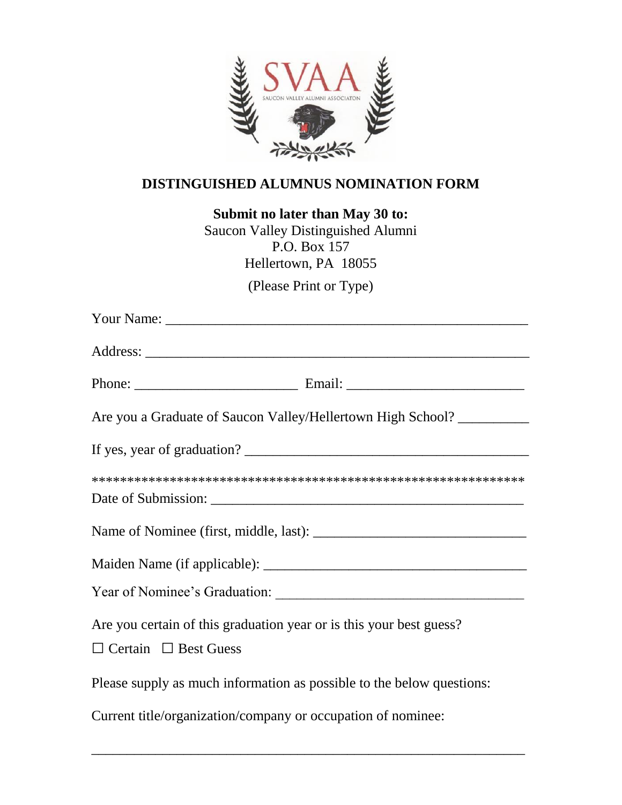

## **DISTINGUISHED ALUMNUS NOMINATION FORM**

**Submit no later than May 30 to:**

Saucon Valley Distinguished Alumni P.O. Box 157 Hellertown, PA 18055

(Please Print or Type)

| Are you a Graduate of Saucon Valley/Hellertown High School? _________                                   |
|---------------------------------------------------------------------------------------------------------|
|                                                                                                         |
|                                                                                                         |
|                                                                                                         |
|                                                                                                         |
|                                                                                                         |
| Are you certain of this graduation year or is this your best guess?<br>$\Box$ Certain $\Box$ Best Guess |
| Please supply as much information as possible to the below questions:                                   |
| Current title/organization/company or occupation of nominee:                                            |

\_\_\_\_\_\_\_\_\_\_\_\_\_\_\_\_\_\_\_\_\_\_\_\_\_\_\_\_\_\_\_\_\_\_\_\_\_\_\_\_\_\_\_\_\_\_\_\_\_\_\_\_\_\_\_\_\_\_\_\_\_